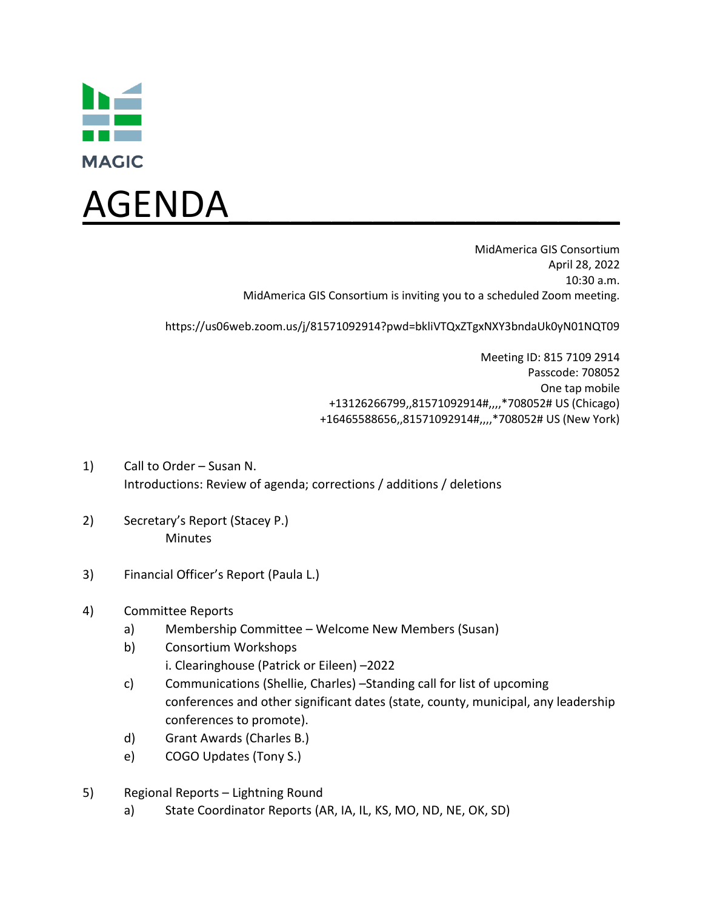



MidAmerica GIS Consortium April 28, 2022 10:30 a.m. MidAmerica GIS Consortium is inviting you to a scheduled Zoom meeting.

https://us06web.zoom.us/j/81571092914?pwd=bkliVTQxZTgxNXY3bndaUk0yN01NQT09

Meeting ID: 815 7109 2914 Passcode: 708052 One tap mobile +13126266799,,81571092914#,,,,\*708052# US (Chicago) +16465588656,,81571092914#,,,,\*708052# US (New York)

- 1) Call to Order Susan N. Introductions: Review of agenda; corrections / additions / deletions
- 2) Secretary's Report (Stacey P.) Minutes
- 3) Financial Officer's Report (Paula L.)
- 4) Committee Reports
	- a) Membership Committee Welcome New Members (Susan)
	- b) Consortium Workshops i. Clearinghouse (Patrick or Eileen) –2022
	- c) Communications (Shellie, Charles) –Standing call for list of upcoming conferences and other significant dates (state, county, municipal, any leadership conferences to promote).
	- d) Grant Awards (Charles B.)
	- e) COGO Updates (Tony S.)
- 5) Regional Reports Lightning Round
	- a) State Coordinator Reports (AR, IA, IL, KS, MO, ND, NE, OK, SD)